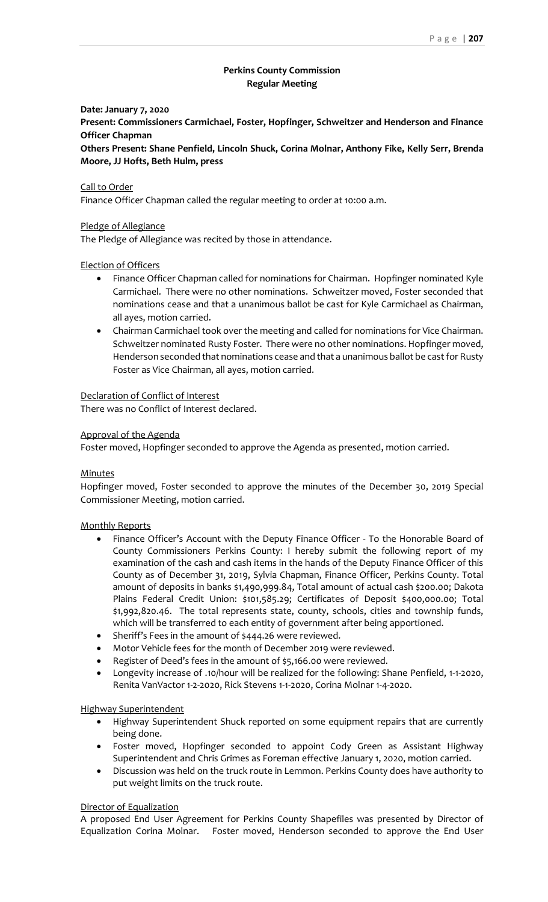# **Perkins County Commission Regular Meeting**

# **Date: January 7, 2020**

**Present: Commissioners Carmichael, Foster, Hopfinger, Schweitzer and Henderson and Finance Officer Chapman**

**Others Present: Shane Penfield, Lincoln Shuck, Corina Molnar, Anthony Fike, Kelly Serr, Brenda Moore, JJ Hofts, Beth Hulm, press**

# Call to Order

Finance Officer Chapman called the regular meeting to order at 10:00 a.m.

# Pledge of Allegiance

The Pledge of Allegiance was recited by those in attendance.

# Election of Officers

- Finance Officer Chapman called for nominations for Chairman. Hopfinger nominated Kyle Carmichael. There were no other nominations. Schweitzer moved, Foster seconded that nominations cease and that a unanimous ballot be cast for Kyle Carmichael as Chairman, all ayes, motion carried.
- Chairman Carmichael took over the meeting and called for nominations for Vice Chairman. Schweitzer nominated Rusty Foster. There were no other nominations. Hopfinger moved, Henderson seconded that nominations cease and that a unanimous ballot be cast for Rusty Foster as Vice Chairman, all ayes, motion carried.

## Declaration of Conflict of Interest

There was no Conflict of Interest declared.

# Approval of the Agenda

Foster moved, Hopfinger seconded to approve the Agenda as presented, motion carried.

## Minutes

Hopfinger moved, Foster seconded to approve the minutes of the December 30, 2019 Special Commissioner Meeting, motion carried.

## Monthly Reports

- Finance Officer's Account with the Deputy Finance Officer To the Honorable Board of County Commissioners Perkins County: I hereby submit the following report of my examination of the cash and cash items in the hands of the Deputy Finance Officer of this County as of December 31, 2019, Sylvia Chapman, Finance Officer, Perkins County. Total amount of deposits in banks \$1,490,999.84, Total amount of actual cash \$200.00; Dakota Plains Federal Credit Union: \$101,585.29; Certificates of Deposit \$400,000.00; Total \$1,992,820.46. The total represents state, county, schools, cities and township funds, which will be transferred to each entity of government after being apportioned.
- Sheriff's Fees in the amount of \$444.26 were reviewed.
- Motor Vehicle fees for the month of December 2019 were reviewed.
- Register of Deed's fees in the amount of \$5,166.00 were reviewed.
- Longevity increase of .10/hour will be realized for the following: Shane Penfield, 1-1-2020, Renita VanVactor 1-2-2020, Rick Stevens 1-1-2020, Corina Molnar 1-4-2020.

## Highway Superintendent

- Highway Superintendent Shuck reported on some equipment repairs that are currently being done.
- Foster moved, Hopfinger seconded to appoint Cody Green as Assistant Highway Superintendent and Chris Grimes as Foreman effective January 1, 2020, motion carried.
- Discussion was held on the truck route in Lemmon. Perkins County does have authority to put weight limits on the truck route.

## Director of Equalization

A proposed End User Agreement for Perkins County Shapefiles was presented by Director of Equalization Corina Molnar. Foster moved, Henderson seconded to approve the End User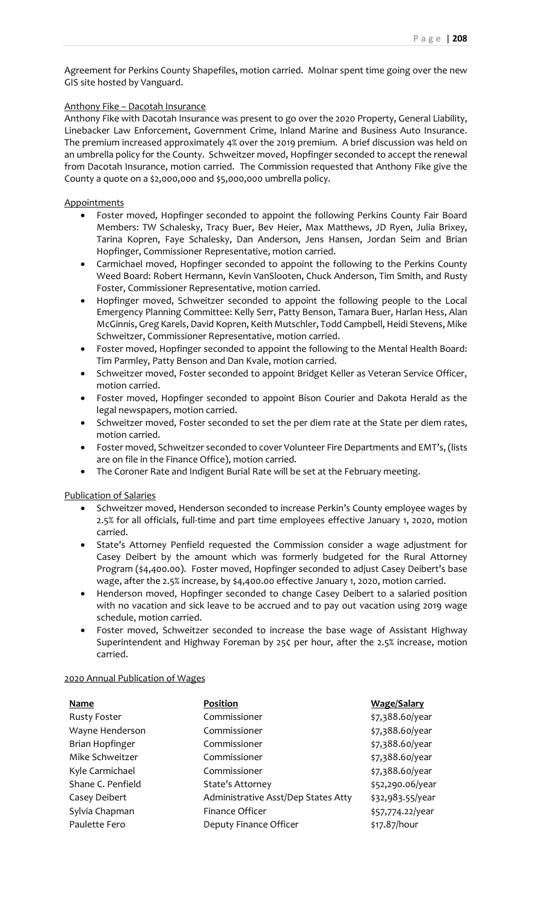Agreement for Perkins County Shapefiles, motion carried. Molnar spent time going over the new GIS site hosted by Vanguard.

# Anthony Fike – Dacotah Insurance

Anthony Fike with Dacotah Insurance was present to go over the 2020 Property, General Liability, Linebacker Law Enforcement, Government Crime, Inland Marine and Business Auto Insurance. The premium increased approximately 4% over the 2019 premium. A brief discussion was held on an umbrella policy for the County. Schweitzer moved, Hopfinger seconded to accept the renewal from Dacotah Insurance, motion carried. The Commission requested that Anthony Fike give the County a quote on a \$2,000,000 and \$5,000,000 umbrella policy.

# **Appointments**

- Foster moved, Hopfinger seconded to appoint the following Perkins County Fair Board Members: TW Schalesky, Tracy Buer, Bev Heier, Max Matthews, JD Ryen, Julia Brixey, Tarina Kopren, Faye Schalesky, Dan Anderson, Jens Hansen, Jordan Seim and Brian Hopfinger, Commissioner Representative, motion carried.
- Carmichael moved, Hopfinger seconded to appoint the following to the Perkins County Weed Board: Robert Hermann, Kevin VanSlooten, Chuck Anderson, Tim Smith, and Rusty Foster, Commissioner Representative, motion carried.
- Hopfinger moved, Schweitzer seconded to appoint the following people to the Local Emergency Planning Committee: Kelly Serr, Patty Benson, Tamara Buer, Harlan Hess, Alan McGinnis, Greg Karels, David Kopren, Keith Mutschler, Todd Campbell, Heidi Stevens, Mike Schweitzer, Commissioner Representative, motion carried.
- Foster moved, Hopfinger seconded to appoint the following to the Mental Health Board: Tim Parmley, Patty Benson and Dan Kvale, motion carried.
- Schweitzer moved, Foster seconded to appoint Bridget Keller as Veteran Service Officer, motion carried.
- Foster moved, Hopfinger seconded to appoint Bison Courier and Dakota Herald as the legal newspapers, motion carried.
- Schweitzer moved, Foster seconded to set the per diem rate at the State per diem rates, motion carried.
- Foster moved, Schweitzer seconded to cover Volunteer Fire Departments and EMT's, (lists are on file in the Finance Office), motion carried.
- The Coroner Rate and Indigent Burial Rate will be set at the February meeting.

# Publication of Salaries

- Schweitzer moved, Henderson seconded to increase Perkin's County employee wages by 2.5% for all officials, full-time and part time employees effective January 1, 2020, motion carried.
- State's Attorney Penfield requested the Commission consider a wage adjustment for Casey Deibert by the amount which was formerly budgeted for the Rural Attorney Program (\$4,400.00). Foster moved, Hopfinger seconded to adjust Casey Deibert's base wage, after the 2.5% increase, by \$4,400.00 effective January 1, 2020, motion carried.
- Henderson moved, Hopfinger seconded to change Casey Deibert to a salaried position with no vacation and sick leave to be accrued and to pay out vacation using 2019 wage schedule, motion carried.
- Foster moved, Schweitzer seconded to increase the base wage of Assistant Highway Superintendent and Highway Foreman by 25¢ per hour, after the 2.5% increase, motion carried.

## 2020 Annual Publication of Wages

| <b>Name</b>         | Position                            | <b>Wage/Salary</b> |
|---------------------|-------------------------------------|--------------------|
| <b>Rusty Foster</b> | Commissioner                        | \$7,388.60/year    |
| Wayne Henderson     | Commissioner                        | \$7,388.60/year    |
| Brian Hopfinger     | Commissioner                        | \$7,388.60/year    |
| Mike Schweitzer     | Commissioner                        | \$7,388.60/year    |
| Kyle Carmichael     | Commissioner                        | \$7,388.60/year    |
| Shane C. Penfield   | <b>State's Attorney</b>             | \$52,290.06/year   |
| Casey Deibert       | Administrative Asst/Dep States Atty | \$32,983.55/year   |
| Sylvia Chapman      | Finance Officer                     | \$57,774.22/year   |
| Paulette Fero       | Deputy Finance Officer              | \$17.87/hour       |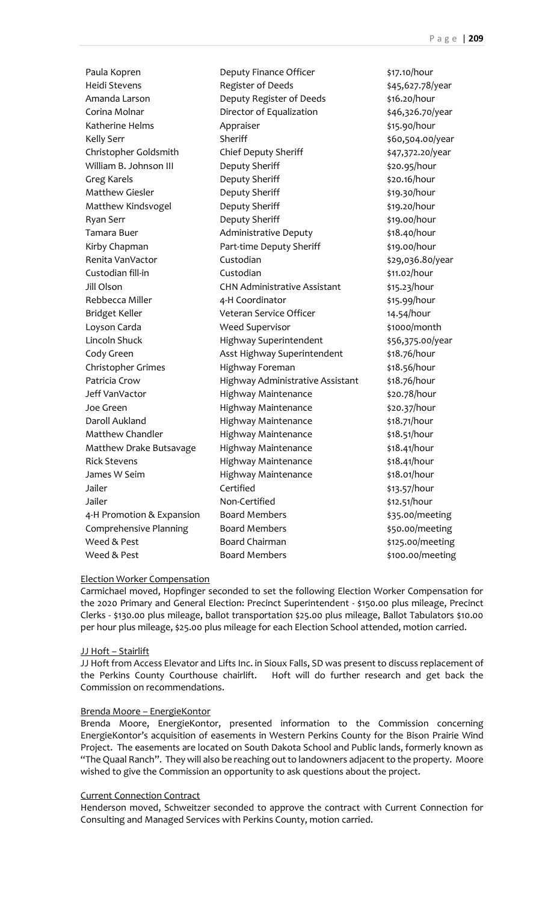Paula Kopren **Deputy Finance Officer** \$17.10/hour Heidi Stevens **Register of Deeds** \$45,627.78/year Amanda Larson Deputy Register of Deeds \$16.20/hour Corina Molnar **Director of Equalization** \$46,326.70/year Katherine Helms **Appraiser** Appraiser **Alleman Appraiser** 615.90/hour Kelly Serr Sheriff \$60,504.00/year Christopher Goldsmith Chief Deputy Sheriff  $\frac{1}{47,372.20}{year}$ William B. Johnson III Deputy Sheriff **Example 20.95/hour** Greg Karels **State Community** Sheriff **State State State State State State State State State State State State State State State State State State State State State State State State State State State State State State Sta** Matthew Giesler **19.30** Deputy Sheriff **19.30** Post 219.30/hour Matthew Kindsvogel **Deputy Sheriff Bullet Accord Example 2018** \$19.20/hour Ryan Serr **Deputy Sheriff** \$19.00/hour Tamara Buer **Administrative Deputy** \$18.40/hour Kirby Chapman **Part-time Deputy Sheriff** \$19.00/hour Renita VanVactor Custodian 6 Custodian 529,036.80/year Custodian fill-in **Custodian Custodian Custodian** \$11.02/hour Jill Olson CHN Administrative Assistant \$15.23/hour Rebbecca Miller **4-H** Coordinator **11-11** \$15.99/hour Bridget Keller **Veteran Service Officer** 14.54/hour Loyson Carda **Meed Supervisor** \$1000/month Lincoln Shuck **Highway Superintendent** \$56,375.00/year Cody Green **Asst Highway Superintendent** \$18.76/hour Christopher Grimes Highway Foreman \$18.56/hour Patricia Crow **Highway Administrative Assistant** \$18.76/hour Jeff VanVactor Highway Maintenance \$20.78/hour Joe Green **Highway Maintenance** \$20.37/hour Daroll Aukland **Highway Maintenance** \$18.71/hour Matthew Chandler **Highway Maintenance** \$18.51/hour Matthew Drake Butsavage Highway Maintenance 518.41/hour Rick Stevens **Highway Maintenance** \$18.41/hour James W Seim **Highway Maintenance** \$18.01/hour Jailer **Certified** Certified **313.57/hour** Jailer **Non-Certified 12.51/hour Non-Certified** \$12.51/hour 4-H Promotion & Expansion Board Members **\$35.00**/meeting Comprehensive Planning Board Members **1988** 550.00/meeting Weed & Pest **Board Chairman** \$125.00/meeting Weed & Pest **Board Members Board Members** \$100.00/meeting

## Election Worker Compensation

Carmichael moved, Hopfinger seconded to set the following Election Worker Compensation for the 2020 Primary and General Election: Precinct Superintendent - \$150.00 plus mileage, Precinct Clerks - \$130.00 plus mileage, ballot transportation \$25.00 plus mileage, Ballot Tabulators \$10.00 per hour plus mileage, \$25.00 plus mileage for each Election School attended, motion carried.

#### JJ Hoft – Stairlift

JJ Hoft from Access Elevator and Lifts Inc. in Sioux Falls, SD was present to discuss replacement of the Perkins County Courthouse chairlift. Hoft will do further research and get back the Commission on recommendations.

#### Brenda Moore – EnergieKontor

Brenda Moore, EnergieKontor, presented information to the Commission concerning EnergieKontor's acquisition of easements in Western Perkins County for the Bison Prairie Wind Project. The easements are located on South Dakota School and Public lands, formerly known as "The Quaal Ranch". They will also be reaching out to landowners adjacent to the property. Moore wished to give the Commission an opportunity to ask questions about the project.

#### Current Connection Contract

Henderson moved, Schweitzer seconded to approve the contract with Current Connection for Consulting and Managed Services with Perkins County, motion carried.